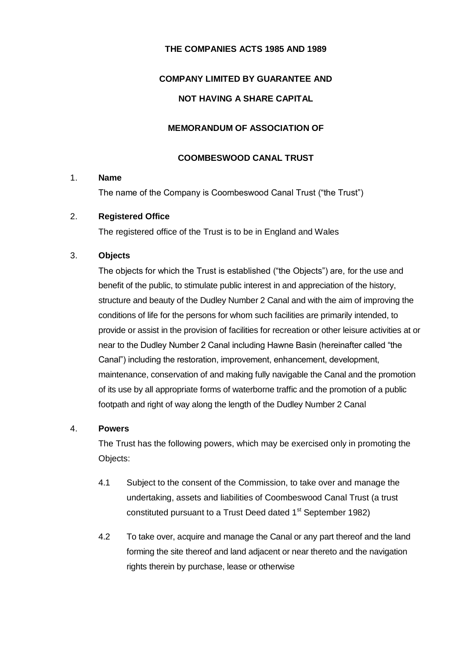## **THE COMPANIES ACTS 1985 AND 1989**

# **COMPANY LIMITED BY GUARANTEE AND**

## **NOT HAVING A SHARE CAPITAL**

## **MEMORANDUM OF ASSOCIATION OF**

#### **COOMBESWOOD CANAL TRUST**

#### 1. **Name**

The name of the Company is Coombeswood Canal Trust ("the Trust")

## 2. **Registered Office**

The registered office of the Trust is to be in England and Wales

#### 3. **Objects**

The objects for which the Trust is established ("the Objects") are, for the use and benefit of the public, to stimulate public interest in and appreciation of the history, structure and beauty of the Dudley Number 2 Canal and with the aim of improving the conditions of life for the persons for whom such facilities are primarily intended, to provide or assist in the provision of facilities for recreation or other leisure activities at or near to the Dudley Number 2 Canal including Hawne Basin (hereinafter called "the Canal") including the restoration, improvement, enhancement, development, maintenance, conservation of and making fully navigable the Canal and the promotion of its use by all appropriate forms of waterborne traffic and the promotion of a public footpath and right of way along the length of the Dudley Number 2 Canal

#### 4. **Powers**

The Trust has the following powers, which may be exercised only in promoting the Objects:

- 4.1 Subject to the consent of the Commission, to take over and manage the undertaking, assets and liabilities of Coombeswood Canal Trust (a trust constituted pursuant to a Trust Deed dated 1<sup>st</sup> September 1982)
- 4.2 To take over, acquire and manage the Canal or any part thereof and the land forming the site thereof and land adjacent or near thereto and the navigation rights therein by purchase, lease or otherwise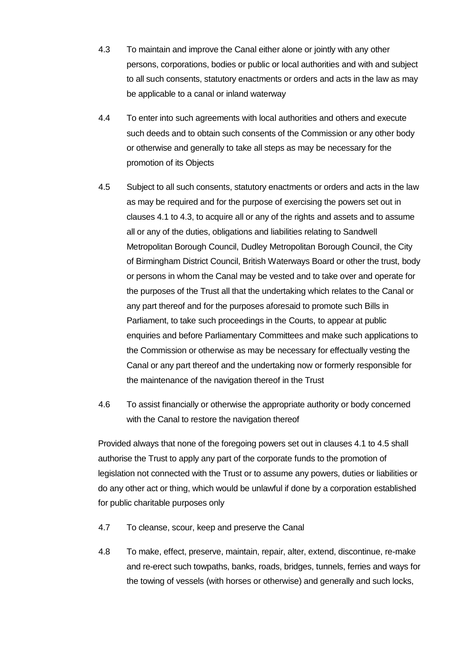- 4.3 To maintain and improve the Canal either alone or jointly with any other persons, corporations, bodies or public or local authorities and with and subject to all such consents, statutory enactments or orders and acts in the law as may be applicable to a canal or inland waterway
- 4.4 To enter into such agreements with local authorities and others and execute such deeds and to obtain such consents of the Commission or any other body or otherwise and generally to take all steps as may be necessary for the promotion of its Objects
- 4.5 Subject to all such consents, statutory enactments or orders and acts in the law as may be required and for the purpose of exercising the powers set out in clauses 4.1 to 4.3, to acquire all or any of the rights and assets and to assume all or any of the duties, obligations and liabilities relating to Sandwell Metropolitan Borough Council, Dudley Metropolitan Borough Council, the City of Birmingham District Council, British Waterways Board or other the trust, body or persons in whom the Canal may be vested and to take over and operate for the purposes of the Trust all that the undertaking which relates to the Canal or any part thereof and for the purposes aforesaid to promote such Bills in Parliament, to take such proceedings in the Courts, to appear at public enquiries and before Parliamentary Committees and make such applications to the Commission or otherwise as may be necessary for effectually vesting the Canal or any part thereof and the undertaking now or formerly responsible for the maintenance of the navigation thereof in the Trust
- 4.6 To assist financially or otherwise the appropriate authority or body concerned with the Canal to restore the navigation thereof

Provided always that none of the foregoing powers set out in clauses 4.1 to 4.5 shall authorise the Trust to apply any part of the corporate funds to the promotion of legislation not connected with the Trust or to assume any powers, duties or liabilities or do any other act or thing, which would be unlawful if done by a corporation established for public charitable purposes only

- 4.7 To cleanse, scour, keep and preserve the Canal
- 4.8 To make, effect, preserve, maintain, repair, alter, extend, discontinue, re-make and re-erect such towpaths, banks, roads, bridges, tunnels, ferries and ways for the towing of vessels (with horses or otherwise) and generally and such locks,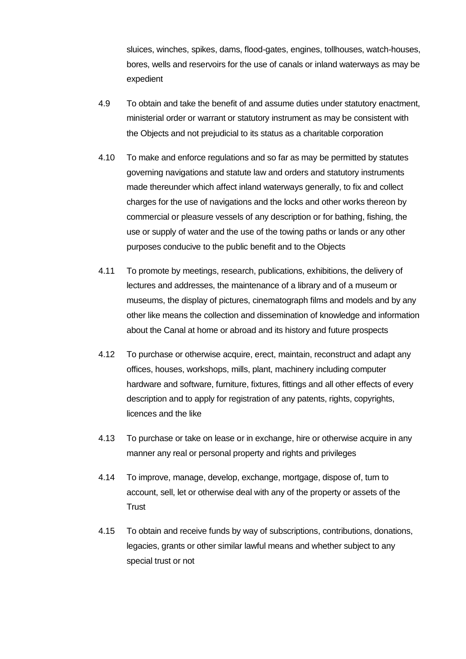sluices, winches, spikes, dams, flood-gates, engines, tollhouses, watch-houses, bores, wells and reservoirs for the use of canals or inland waterways as may be expedient

- 4.9 To obtain and take the benefit of and assume duties under statutory enactment, ministerial order or warrant or statutory instrument as may be consistent with the Objects and not prejudicial to its status as a charitable corporation
- 4.10 To make and enforce regulations and so far as may be permitted by statutes governing navigations and statute law and orders and statutory instruments made thereunder which affect inland waterways generally, to fix and collect charges for the use of navigations and the locks and other works thereon by commercial or pleasure vessels of any description or for bathing, fishing, the use or supply of water and the use of the towing paths or lands or any other purposes conducive to the public benefit and to the Objects
- 4.11 To promote by meetings, research, publications, exhibitions, the delivery of lectures and addresses, the maintenance of a library and of a museum or museums, the display of pictures, cinematograph films and models and by any other like means the collection and dissemination of knowledge and information about the Canal at home or abroad and its history and future prospects
- 4.12 To purchase or otherwise acquire, erect, maintain, reconstruct and adapt any offices, houses, workshops, mills, plant, machinery including computer hardware and software, furniture, fixtures, fittings and all other effects of every description and to apply for registration of any patents, rights, copyrights, licences and the like
- 4.13 To purchase or take on lease or in exchange, hire or otherwise acquire in any manner any real or personal property and rights and privileges
- 4.14 To improve, manage, develop, exchange, mortgage, dispose of, turn to account, sell, let or otherwise deal with any of the property or assets of the **Trust**
- 4.15 To obtain and receive funds by way of subscriptions, contributions, donations, legacies, grants or other similar lawful means and whether subject to any special trust or not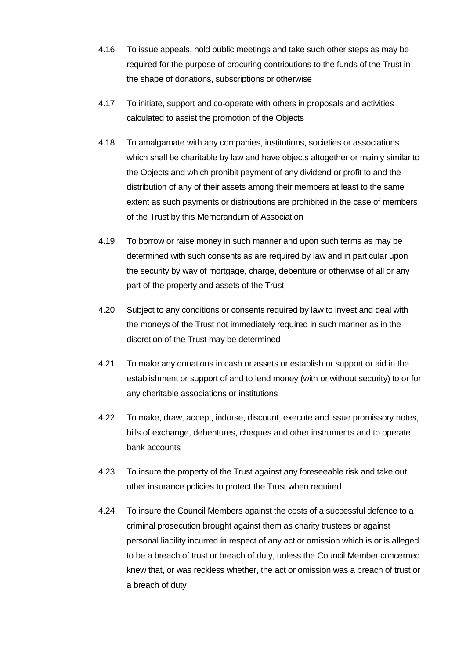- 4.16 To issue appeals, hold public meetings and take such other steps as may be required for the purpose of procuring contributions to the funds of the Trust in the shape of donations, subscriptions or otherwise
- 4.17 To initiate, support and co-operate with others in proposals and activities calculated to assist the promotion of the Objects
- 4.18 To amalgamate with any companies, institutions, societies or associations which shall be charitable by law and have objects altogether or mainly similar to the Objects and which prohibit payment of any dividend or profit to and the distribution of any of their assets among their members at least to the same extent as such payments or distributions are prohibited in the case of members of the Trust by this Memorandum of Association
- 4.19 To borrow or raise money in such manner and upon such terms as may be determined with such consents as are required by law and in particular upon the security by way of mortgage, charge, debenture or otherwise of all or any part of the property and assets of the Trust
- 4.20 Subject to any conditions or consents required by law to invest and deal with the moneys of the Trust not immediately required in such manner as in the discretion of the Trust may be determined
- 4.21 To make any donations in cash or assets or establish or support or aid in the establishment or support of and to lend money (with or without security) to or for any charitable associations or institutions
- 4.22 To make, draw, accept, indorse, discount, execute and issue promissory notes, bills of exchange, debentures, cheques and other instruments and to operate bank accounts
- 4.23 To insure the property of the Trust against any foreseeable risk and take out other insurance policies to protect the Trust when required
- 4.24 To insure the Council Members against the costs of a successful defence to a criminal prosecution brought against them as charity trustees or against personal liability incurred in respect of any act or omission which is or is alleged to be a breach of trust or breach of duty, unless the Council Member concerned knew that, or was reckless whether, the act or omission was a breach of trust or a breach of duty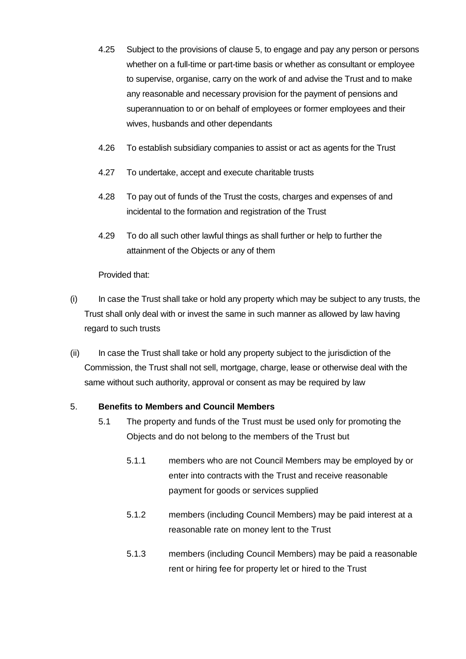- 4.25 Subject to the provisions of clause 5, to engage and pay any person or persons whether on a full-time or part-time basis or whether as consultant or employee to supervise, organise, carry on the work of and advise the Trust and to make any reasonable and necessary provision for the payment of pensions and superannuation to or on behalf of employees or former employees and their wives, husbands and other dependants
- 4.26 To establish subsidiary companies to assist or act as agents for the Trust
- 4.27 To undertake, accept and execute charitable trusts
- 4.28 To pay out of funds of the Trust the costs, charges and expenses of and incidental to the formation and registration of the Trust
- 4.29 To do all such other lawful things as shall further or help to further the attainment of the Objects or any of them

Provided that:

- (i) In case the Trust shall take or hold any property which may be subject to any trusts, the Trust shall only deal with or invest the same in such manner as allowed by law having regard to such trusts
- (ii) In case the Trust shall take or hold any property subject to the jurisdiction of the Commission, the Trust shall not sell, mortgage, charge, lease or otherwise deal with the same without such authority, approval or consent as may be required by law

#### 5. **Benefits to Members and Council Members**

- 5.1 The property and funds of the Trust must be used only for promoting the Objects and do not belong to the members of the Trust but
	- 5.1.1 members who are not Council Members may be employed by or enter into contracts with the Trust and receive reasonable payment for goods or services supplied
	- 5.1.2 members (including Council Members) may be paid interest at a reasonable rate on money lent to the Trust
	- 5.1.3 members (including Council Members) may be paid a reasonable rent or hiring fee for property let or hired to the Trust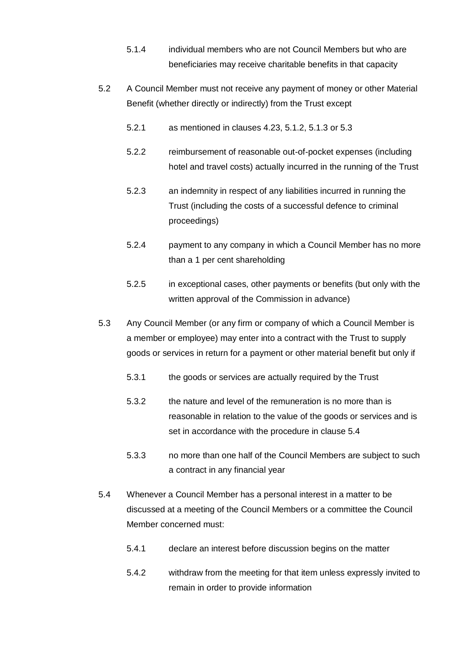- 5.1.4 individual members who are not Council Members but who are beneficiaries may receive charitable benefits in that capacity
- 5.2 A Council Member must not receive any payment of money or other Material Benefit (whether directly or indirectly) from the Trust except
	- 5.2.1 as mentioned in clauses 4.23, 5.1.2, 5.1.3 or 5.3
	- 5.2.2 reimbursement of reasonable out-of-pocket expenses (including hotel and travel costs) actually incurred in the running of the Trust
	- 5.2.3 an indemnity in respect of any liabilities incurred in running the Trust (including the costs of a successful defence to criminal proceedings)
	- 5.2.4 payment to any company in which a Council Member has no more than a 1 per cent shareholding
	- 5.2.5 in exceptional cases, other payments or benefits (but only with the written approval of the Commission in advance)
- 5.3 Any Council Member (or any firm or company of which a Council Member is a member or employee) may enter into a contract with the Trust to supply goods or services in return for a payment or other material benefit but only if
	- 5.3.1 the goods or services are actually required by the Trust
	- 5.3.2 the nature and level of the remuneration is no more than is reasonable in relation to the value of the goods or services and is set in accordance with the procedure in clause 5.4
	- 5.3.3 no more than one half of the Council Members are subject to such a contract in any financial year
- 5.4 Whenever a Council Member has a personal interest in a matter to be discussed at a meeting of the Council Members or a committee the Council Member concerned must:
	- 5.4.1 declare an interest before discussion begins on the matter
	- 5.4.2 withdraw from the meeting for that item unless expressly invited to remain in order to provide information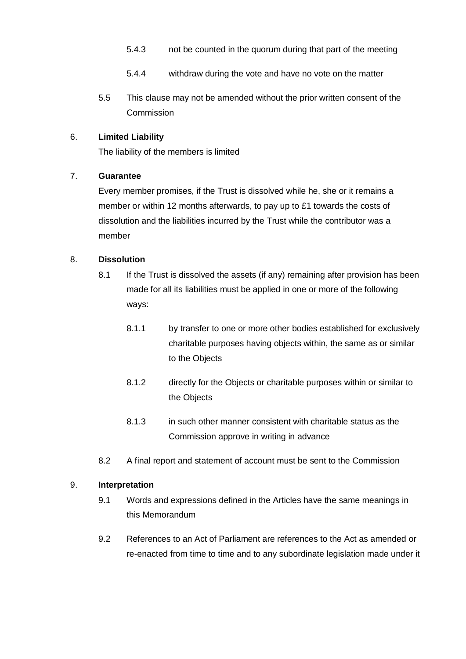- 5.4.3 not be counted in the quorum during that part of the meeting
- 5.4.4 withdraw during the vote and have no vote on the matter
- 5.5 This clause may not be amended without the prior written consent of the **Commission**

# 6. **Limited Liability**

The liability of the members is limited

# 7. **Guarantee**

Every member promises, if the Trust is dissolved while he, she or it remains a member or within 12 months afterwards, to pay up to £1 towards the costs of dissolution and the liabilities incurred by the Trust while the contributor was a member

# 8. **Dissolution**

- 8.1 If the Trust is dissolved the assets (if any) remaining after provision has been made for all its liabilities must be applied in one or more of the following ways:
	- 8.1.1 by transfer to one or more other bodies established for exclusively charitable purposes having objects within, the same as or similar to the Objects
	- 8.1.2 directly for the Objects or charitable purposes within or similar to the Objects
	- 8.1.3 in such other manner consistent with charitable status as the Commission approve in writing in advance
- 8.2 A final report and statement of account must be sent to the Commission

# 9. **Interpretation**

- 9.1 Words and expressions defined in the Articles have the same meanings in this Memorandum
- 9.2 References to an Act of Parliament are references to the Act as amended or re-enacted from time to time and to any subordinate legislation made under it